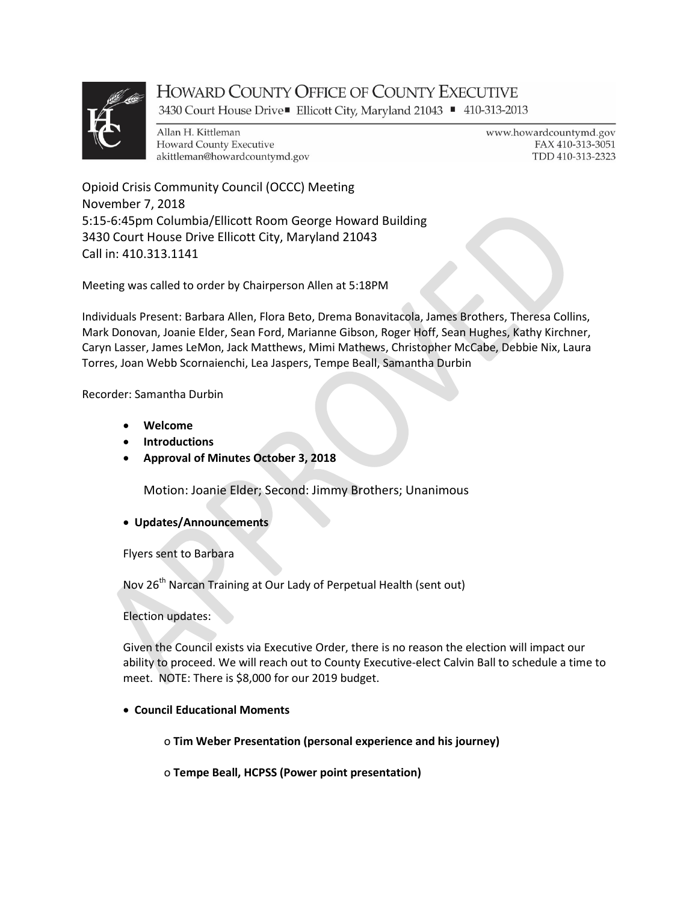

# **HOWARD COUNTY OFFICE OF COUNTY EXECUTIVE**

3430 Court House Drive■ Ellicott City, Maryland 21043 ■ 410-313-2013

Allan H. Kittleman **Howard County Executive** akittleman@howardcountymd.gov www.howardcountymd.gov FAX 410-313-3051 TDD 410-313-2323

Opioid Crisis Community Council (OCCC) Meeting November 7, 2018 5:15-6:45pm Columbia/Ellicott Room George Howard Building 3430 Court House Drive Ellicott City, Maryland 21043 Call in: 410.313.1141

Meeting was called to order by Chairperson Allen at 5:18PM

Individuals Present: Barbara Allen, Flora Beto, Drema Bonavitacola, James Brothers, Theresa Collins, Mark Donovan, Joanie Elder, Sean Ford, Marianne Gibson, Roger Hoff, Sean Hughes, Kathy Kirchner, Caryn Lasser, James LeMon, Jack Matthews, Mimi Mathews, Christopher McCabe, Debbie Nix, Laura Torres, Joan Webb Scornaienchi, Lea Jaspers, Tempe Beall, Samantha Durbin

Recorder: Samantha Durbin

- Welcome
- Introductions
- Approval of Minutes October 3, 2018

Motion: Joanie Elder; Second: Jimmy Brothers; Unanimous

Updates/Announcements

Flyers sent to Barbara

Nov 26<sup>th</sup> Narcan Training at Our Lady of Perpetual Health (sent out)

### Election updates:

Given the Council exists via Executive Order, there is no reason the election will impact our ability to proceed. We will reach out to County Executive-elect Calvin Ball to schedule a time to meet. NOTE: There is \$8,000 for our 2019 budget.

## Council Educational Moments

o Tim Weber Presentation (personal experience and his journey)

o Tempe Beall, HCPSS (Power point presentation)